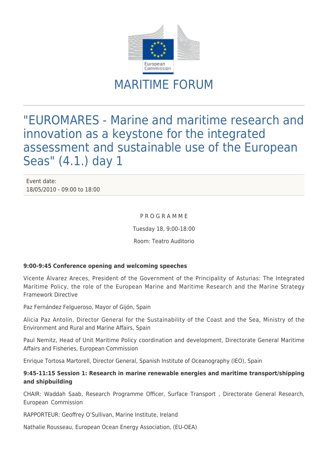

# MARITIME FORUM

"EUROMARES - Marine and maritime research and innovation as a keystone for the integrated assessment and sustainable use of the European Seas" (4.1.) day 1

Event date: 18/05/2010 - 09:00 to 18:00

#### P R O G R A M M E

Tuesday 18, 9:00-18:00

Room: Teatro Auditorio

## **9:00-9:45 Conference opening and welcoming speeches**

Vicente Álvarez Areces, President of the Government of the Principality of Asturias: The Integrated Maritime Policy, the role of the European Marine and Maritime Research and the Marine Strategy Framework Directive

Paz Fernández Felgueroso, Mayor of Gijón, Spain

Alicia Paz Antolín, Director General for the Sustainability of the Coast and the Sea, Ministry of the Environment and Rural and Marine Affairs, Spain

Paul Nemitz, Head of Unit Maritime Policy coordination and development, Directorate General Maritime Affairs and Fisheries, European Commission

Enrique Tortosa Martorell, Director General, Spanish Institute of Oceanography (IEO), Spain

# **9:45-11:15 Session 1: Research in marine renewable energies and maritime transport/shipping and shipbuilding**

CHAIR: Waddah Saab, Research Programme Officer, Surface Transport , Directorate General Research, European Commission

RAPPORTEUR: Geoffrey O'Sullivan, Marine Institute, Ireland

Nathalie Rousseau, European Ocean Energy Association, (EU-OEA)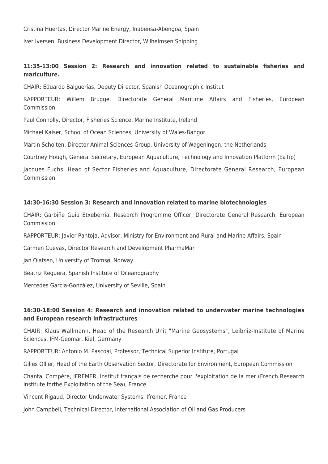Cristina Huertas, Director Marine Energy, Inabensa-Abengoa, Spain

Iver Iversen, Business Development Director, Wilhelmsen Shipping

# **11:35-13:00 Session 2: Research and innovation related to sustainable fisheries and mariculture.**

CHAIR: Eduardo Balguerías, Deputy Director, Spanish Oceanographic Institut

RAPPORTEUR: Willem Brugge, Directorate General Maritime Affairs and Fisheries, European Commission

Paul Connolly, Director, Fisheries Science, Marine Institute, Ireland

Michael Kaiser, School of Ocean Sciences, University of Wales-Bangor

Martin Scholten, Director Animal Sciences Group, University of Wageningen, the Netherlands

Courtney Hough, General Secretary, European Aquaculture, Technology and Innovation Platform (EaTip)

Jacques Fuchs, Head of Sector Fisheries and Aquaculture, Directorate General Research, European Commission

#### **14:30-16:30 Session 3: Research and innovation related to marine biotechnologies**

CHAIR: Garbiñe Guiu Etxeberria, Research Programme Officer, Directorate General Research, European Commission

RAPPORTEUR: Javier Pantoja, Advisor, Ministry for Environment and Rural and Marine Affairs, Spain

Carmen Cuevas, Director Research and Development PharmaMar

Jan Olafsen, University of Tromsø, Norway

Beatriz Reguera, Spanish Institute of Oceanography

Mercedes García-González, University of Seville, Spain

## **16:30-18:00 Session 4: Research and innovation related to underwater marine technologies and European research infrastructures**

CHAIR: Klaus Wallmann, Head of the Research Unit "Marine Geosystems", Leibniz-Institute of Marine Sciences, IFM-Geomar, Kiel, Germany

RAPPORTEUR: Antonio M. Pascoal, Professor, Technical Superior Institute, Portugal

Gilles Ollier, Head of the Earth Observation Sector, Directorate for Environment, European Commission

Chantal Compère, IFREMER, Institut français de recherche pour l'exploitation de la mer (French Research Institute forthe Exploitation of the Sea), France

Vincent Rigaud, Director Underwater Systems, Ifremer, France

John Campbell, Technical Director, International Association of Oil and Gas Producers